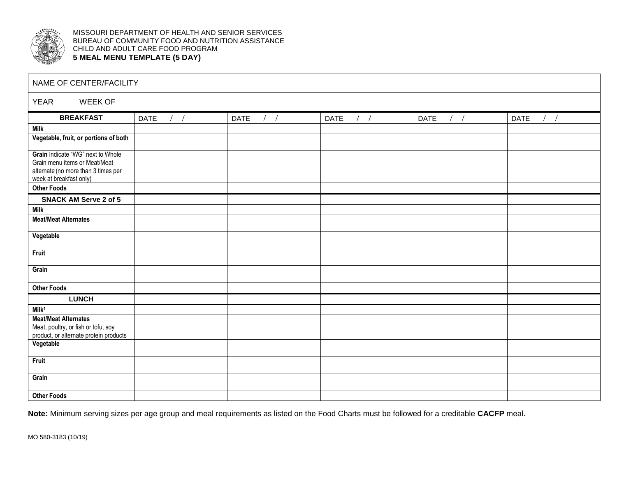

MISSOURI DEPARTMENT OF HEALTH AND SENIOR SERVICES BUREAU OF COMMUNITY FOOD AND NUTRITION ASSISTANCE CHILD AND ADULT CARE FOOD PROGRAM **5 MEAL MENU TEMPLATE (5 DAY)**

| NAME OF CENTER/FACILITY                                                       |                       |                      |                          |                      |                          |  |  |  |  |
|-------------------------------------------------------------------------------|-----------------------|----------------------|--------------------------|----------------------|--------------------------|--|--|--|--|
| <b>YEAR</b><br><b>WEEK OF</b>                                                 |                       |                      |                          |                      |                          |  |  |  |  |
| <b>BREAKFAST</b>                                                              | $\frac{1}{2}$<br>DATE | $/$ /<br><b>DATE</b> | $\left  \right $<br>DATE | $/$ /<br><b>DATE</b> | $\left  \right $<br>DATE |  |  |  |  |
| <b>Milk</b>                                                                   |                       |                      |                          |                      |                          |  |  |  |  |
| Vegetable, fruit, or portions of both                                         |                       |                      |                          |                      |                          |  |  |  |  |
| Grain Indicate "WG" next to Whole                                             |                       |                      |                          |                      |                          |  |  |  |  |
| Grain menu items or Meat/Meat<br>alternate (no more than 3 times per          |                       |                      |                          |                      |                          |  |  |  |  |
| week at breakfast only)                                                       |                       |                      |                          |                      |                          |  |  |  |  |
| <b>Other Foods</b>                                                            |                       |                      |                          |                      |                          |  |  |  |  |
| <b>SNACK AM Serve 2 of 5</b>                                                  |                       |                      |                          |                      |                          |  |  |  |  |
| <b>Milk</b>                                                                   |                       |                      |                          |                      |                          |  |  |  |  |
| <b>Meat/Meat Alternates</b>                                                   |                       |                      |                          |                      |                          |  |  |  |  |
| Vegetable                                                                     |                       |                      |                          |                      |                          |  |  |  |  |
| <b>Fruit</b>                                                                  |                       |                      |                          |                      |                          |  |  |  |  |
| Grain                                                                         |                       |                      |                          |                      |                          |  |  |  |  |
| <b>Other Foods</b>                                                            |                       |                      |                          |                      |                          |  |  |  |  |
| <b>LUNCH</b>                                                                  |                       |                      |                          |                      |                          |  |  |  |  |
| $M$ ilk <sup>1</sup>                                                          |                       |                      |                          |                      |                          |  |  |  |  |
| <b>Meat/Meat Alternates</b>                                                   |                       |                      |                          |                      |                          |  |  |  |  |
| Meat, poultry, or fish or tofu, soy<br>product, or alternate protein products |                       |                      |                          |                      |                          |  |  |  |  |
| Vegetable                                                                     |                       |                      |                          |                      |                          |  |  |  |  |
| <b>Fruit</b>                                                                  |                       |                      |                          |                      |                          |  |  |  |  |
| Grain                                                                         |                       |                      |                          |                      |                          |  |  |  |  |
| <b>Other Foods</b>                                                            |                       |                      |                          |                      |                          |  |  |  |  |

**Note:** Minimum serving sizes per age group and meal requirements as listed on the Food Charts must be followed for a creditable **CACFP** meal.